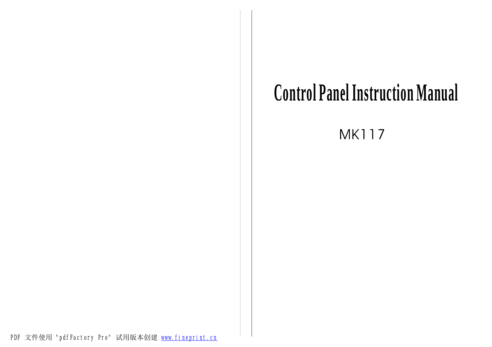## **Control Panel Instruction Manual**

**MK117** 

PDF 文件使用 "pdfFactory Pro" 试用版本创建 [www.fineprint.cn](http://www.fineprint.cn)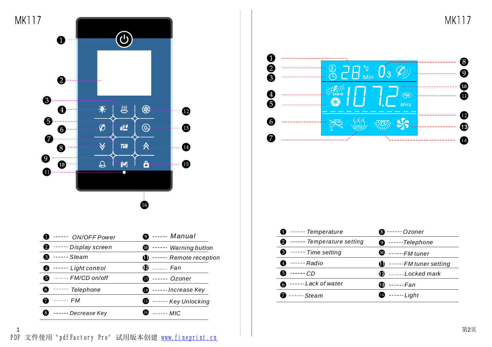**MK117** 



| $\bullet$ $\cdot \cdot \cdot \cdot$ ON/OFF Power | $\bullet$ ---- Manual               | ----- lemperature                  | $\mathbf{w}$ ----- Ozoner          |
|--------------------------------------------------|-------------------------------------|------------------------------------|------------------------------------|
|                                                  |                                     | <b>2</b> ----- Temperature setting | $\bullet$ -----Telephone           |
| <b>2</b> ----- Display screen                    | $\bullet$ ----- Warning button      | $\bullet$ ----- Time setting       |                                    |
| $\bullet$ Steam                                  | $\mathbf 0$ ------ Remote reception |                                    | $\bullet$ ----- FM tuner           |
| $\bullet$ $\cdots$ Light control                 | $\ddot{D}$ Fan                      | $\bullet$ $\cdots$ Radio           | $\mathbf 0$ ------FM tuner setting |
| $\bullet$ ----- $FM/CD$ on/off                   |                                     | $\bullet$ ------ CD                | $\mathbf{D}$ ----- Locked mark     |
|                                                  | $\bullet$ ----- Ozoner              | $\bullet$ ------ Lack of water     | $\bigoplus$ ------ Fan             |
| $\bullet$ $\cdot \cdot \cdot \cdot$ Telephone    | <b>Co</b> ----- Increase Key        |                                    |                                    |
| $\bullet$ ------ $FM$                            | <b>B</b> ------ Key Unlocking       | $\bullet$ ---- Steam               | $\bullet$ ----- Light              |
| $\bullet$ ----- Decrease Key                     | $\bullet$ ------ MIC                |                                    |                                    |



| <b>D</b> ----- Temperature                       | <b>❸</b> ------ Ozoner               |
|--------------------------------------------------|--------------------------------------|
| <b>2</b> ----- Temperature setting               | $\bullet$ ----- Telephone            |
| $\bullet$ $\cdot \cdot \cdot \cdot$ Time setting | $\mathbf{\Phi}$ ---- FM tuner        |
| <b>49</b> ------ Radio                           | $\mathbf{D}$ ------ FM tuner setting |
| 60 ------ CD                                     | $\mathbf{Q}$ ----- Locked mark       |
| $\bullet$ ------ Lack of water                   | ----- <i>Fan</i><br>Œ.               |
| <b>Ø</b> ---- Steam                              | $\bullet$ ----- Light                |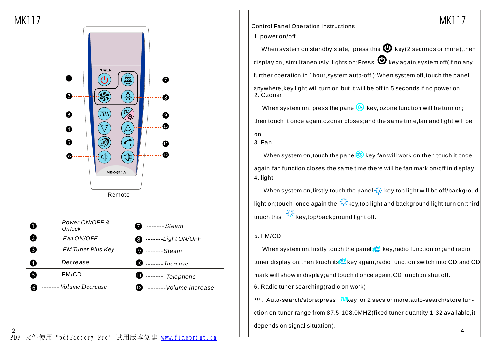**MK117** 



| Power ON/OFF &<br>Unlock             | ------ Steam                     |
|--------------------------------------|----------------------------------|
| $---Fan ON/OFF$                      | $\bullet$ ------Light ON/OFF     |
| <b>6</b> ----- FM Tuner Plus Key     | $\mathbf{S}$ Steam               |
| ------ Decrease                      |                                  |
| ------- FM/CD<br>6                   | $\mathbf 0$ ----- Telephone      |
| ------- Volume Decrease<br>$\bullet$ | <b>12</b> ------ Volume Increase |

Control Panel Operation Instructions

1. power on/off

When system on standby state, press this  $\bigoplus$  key(2 seconds or more), then display on, simultaneously lights on;Press  $\blacktriangledown$  key again,system off(if no any further operation in 1hour,system auto-off );When system off,touch the panel anywhere,key light will turn on,but it will be off in 5 seconds if no power on. 2. Ozoner

When system on, press the panel  $\odot$  key, ozone function will be turn on; then touch it once again,ozoner closes;and the same time,fan and light will be on.

3. Fan

When system on, touch the panel  $\mathcal{L}$  key, fan will work on; then touch it once again,fan function closes;the same time there will be fan mark on/off in display. 4. light

When system on, firstly touch the panel  $\frac{1}{2}$  key, top light will be off/backgroud light on; touch once again the  $\frac{1}{2}$  key, top light and background light turn on; third touch this  $\frac{1}{2}$  key,top/background light off.

## 5. FM/CD

When system on, firstly touch the panel  $\mathbb{R}^n$  key, radio function on; and radio tuner display on; then touch its is a key again, radio function switch into CD; and CD mark will show in display;and touch it once again,CD function shut off.

6. Radio tuner searching(radio on work)

、Auto-search/store:press *TUI*key for 2 secs or more,auto-search/store function on,tuner range from 87.5-108.0MHZ(fixed tuner quantity 1-32 available,it depends on signal situation).

MK117